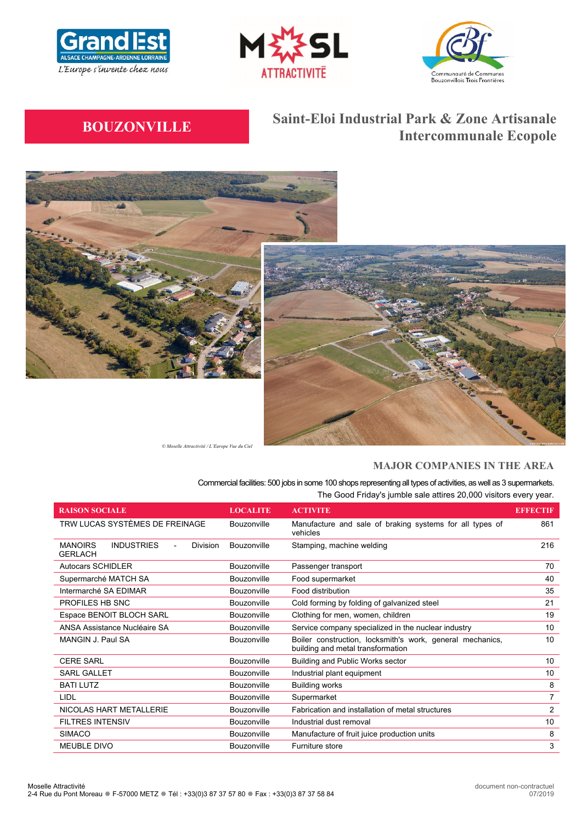





# **BOUZONVILLE Saint-Eloi Industrial Park & Zone Artisanale Intercommunale Ecopole**





*© Moselle Attractivité / L'Europe Vue du Ciel*

# **MAJOR COMPANIES IN THE AREA**

Commercial facilities: 500 jobs in some 100 shops representing all types of activities, as well as 3 supermarkets. The Good Friday's jumble sale attires 20,000 visitors every year.

| <b>RAISON SOCIALE</b>                                             | <b>LOCALITE</b> | <b>ACTIVITE</b>                                                                                | <b>EFFECTIF</b> |
|-------------------------------------------------------------------|-----------------|------------------------------------------------------------------------------------------------|-----------------|
| TRW LUCAS SYSTÈMES DE FREINAGE                                    | Bouzonville     | Manufacture and sale of braking systems for all types of<br>vehicles                           | 861             |
| <b>MANOIRS</b><br><b>INDUSTRIES</b><br>Division<br><b>GERLACH</b> | Bouzonville     | Stamping, machine welding                                                                      | 216             |
| <b>Autocars SCHIDLER</b>                                          | Bouzonville     | Passenger transport                                                                            | 70              |
| Supermarché MATCH SA                                              | Bouzonville     | Food supermarket                                                                               | 40              |
| Intermarché SA EDIMAR                                             | Bouzonville     | Food distribution                                                                              | 35              |
| PROFILES HB SNC                                                   | Bouzonville     | Cold forming by folding of galvanized steel                                                    | 21              |
| Espace BENOIT BLOCH SARL                                          | Bouzonville     | Clothing for men, women, children                                                              | 19              |
| ANSA Assistance Nucléaire SA                                      | Bouzonville     | Service company specialized in the nuclear industry                                            | 10              |
| MANGIN J. Paul SA                                                 | Bouzonville     | Boiler construction, locksmith's work, general mechanics,<br>building and metal transformation | 10 <sup>1</sup> |
| <b>CERE SARL</b>                                                  | Bouzonville     | Building and Public Works sector                                                               | 10 <sup>1</sup> |
| SARL GALLET                                                       | Bouzonville     | Industrial plant equipment                                                                     | 10              |
| <b>BATI LUTZ</b>                                                  | Bouzonville     | <b>Building works</b>                                                                          | 8               |
| LIDL<br>Bouzonville                                               |                 | Supermarket                                                                                    | 7               |
| NICOLAS HART METALLERIE                                           | Bouzonville     | Fabrication and installation of metal structures                                               | $\overline{2}$  |
| <b>FILTRES INTENSIV</b><br>Bouzonville                            |                 | Industrial dust removal                                                                        | 10              |
| <b>SIMACO</b>                                                     | Bouzonville     | Manufacture of fruit juice production units                                                    | 8               |
| <b>MEUBLE DIVO</b>                                                | Bouzonville     | Furniture store                                                                                | 3               |